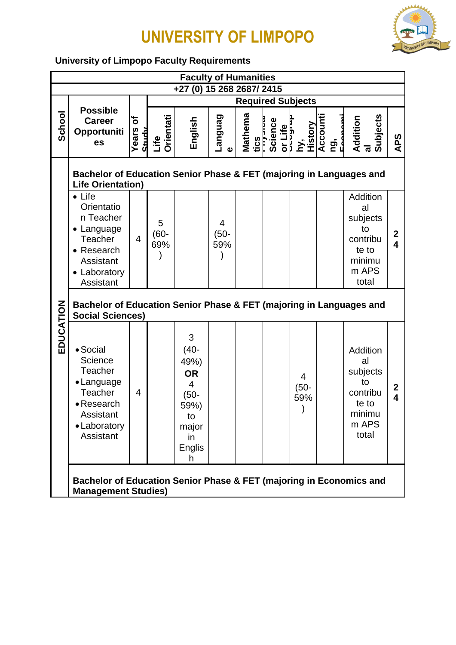

#### **University of Limpopo Faculty Requirements**

|           |                                                                                                                               |                             |                     | <b>Faculty of Humanities</b>                                                                         |                                     |                              |                          |                                                                                                             |                                                                                   |                                             |
|-----------|-------------------------------------------------------------------------------------------------------------------------------|-----------------------------|---------------------|------------------------------------------------------------------------------------------------------|-------------------------------------|------------------------------|--------------------------|-------------------------------------------------------------------------------------------------------------|-----------------------------------------------------------------------------------|---------------------------------------------|
|           |                                                                                                                               |                             |                     | +27 (0) 15 268 2687/ 2415                                                                            |                                     |                              |                          |                                                                                                             |                                                                                   |                                             |
|           |                                                                                                                               |                             |                     |                                                                                                      |                                     |                              | <b>Required Subjects</b> |                                                                                                             |                                                                                   |                                             |
| School    | <b>Possible</b><br><b>Career</b><br>Opportuniti<br>es                                                                         | ৳<br>Years<br><b>TALIAN</b> | Life<br>Orientati   | English                                                                                              | <b>Canguag</b><br>$\mathbf{\Omega}$ | Mathema<br>tics<br>Triyərxan |                          | Science<br>or Life<br>Py,<br>History<br>History<br>Accounti<br>Permanni<br>Permanni<br>Permanni<br>Permanni | Subjects<br>Addition<br>al                                                        | APS                                         |
|           | Bachelor of Education Senior Phase & FET (majoring in Languages and<br><b>Life Orientation)</b>                               |                             |                     |                                                                                                      |                                     |                              |                          |                                                                                                             |                                                                                   |                                             |
|           | $\bullet$ Life<br>Orientatio<br>n Teacher<br>• Language<br>Teacher<br>• Research<br>Assistant<br>• Laboratory<br>Assistant    | 4                           | 5<br>$(60 -$<br>69% |                                                                                                      | 4<br>$(50 -$<br>59%                 |                              |                          |                                                                                                             | Addition<br>al<br>subjects<br>to<br>contribu<br>te to<br>minimu<br>m APS<br>total | $\boldsymbol{2}$<br>$\overline{\mathbf{4}}$ |
|           | Bachelor of Education Senior Phase & FET (majoring in Languages and<br><b>Social Sciences)</b>                                |                             |                     |                                                                                                      |                                     |                              |                          |                                                                                                             |                                                                                   |                                             |
| EDUCATION | • Social<br>Science<br><b>Teacher</b><br>• Language<br><b>Teacher</b><br>• Research<br>Assistant<br>• Laboratory<br>Assistant | 4                           |                     | 3<br>$(40 -$<br>49%)<br><b>OR</b><br>4<br>$(50 -$<br>59%)<br>to<br>major<br>in<br><b>Englis</b><br>h |                                     |                              |                          | $\overline{4}$<br>$(50 -$<br>59%                                                                            | Addition<br>al<br>subjects<br>to<br>contribu<br>te to<br>minimu<br>m APS<br>total | $\boldsymbol{2}$<br>$\overline{\mathbf{4}}$ |
|           | Bachelor of Education Senior Phase & FET (majoring in Economics and<br><b>Management Studies)</b>                             |                             |                     |                                                                                                      |                                     |                              |                          |                                                                                                             |                                                                                   |                                             |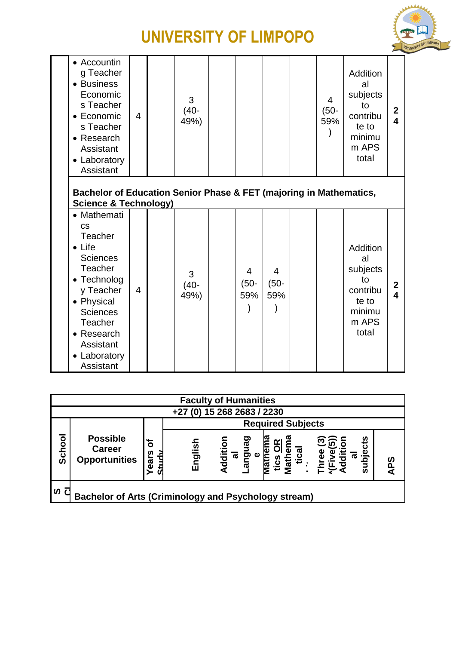

| • Accountin<br>g Teacher<br>• Business<br>Economic<br>s Teacher<br>$\bullet$ Economic<br>s Teacher<br>• Research<br>Assistant<br>• Laboratory<br>Assistant                                                                 | $\overline{4}$ | 3<br>$(40 -$<br>49%) |                                  |                                  | 4<br>$(50 -$<br>59% | Addition<br>al<br>subjects<br>to<br>contribu<br>te to<br>minimu<br>m APS<br>total | $\mathbf{2}$<br>4                       |
|----------------------------------------------------------------------------------------------------------------------------------------------------------------------------------------------------------------------------|----------------|----------------------|----------------------------------|----------------------------------|---------------------|-----------------------------------------------------------------------------------|-----------------------------------------|
| Bachelor of Education Senior Phase & FET (majoring in Mathematics,<br><b>Science &amp; Technology)</b>                                                                                                                     |                |                      |                                  |                                  |                     |                                                                                   |                                         |
| • Mathemati<br><b>CS</b><br>Teacher<br>$\bullet$ Life<br><b>Sciences</b><br>Teacher<br>• Technolog<br>y Teacher<br>• Physical<br><b>Sciences</b><br><b>Teacher</b><br>• Research<br>Assistant<br>• Laboratory<br>Assistant | 4              | 3<br>$(40 -$<br>49%) | $\overline{4}$<br>$(50 -$<br>59% | $\overline{4}$<br>$(50 -$<br>59% |                     | Addition<br>al<br>subjects<br>to<br>contribu<br>te to<br>minimu<br>m APS<br>total | $\mathbf{2}$<br>$\overline{\mathbf{4}}$ |

|        | <b>Faculty of Humanities</b>                                |          |              |                                  |                           |                              |         |  |
|--------|-------------------------------------------------------------|----------|--------------|----------------------------------|---------------------------|------------------------------|---------|--|
|        | (0) 15 268 2683 / 2230<br>$+27$                             |          |              |                                  |                           |                              |         |  |
|        |                                                             |          |              |                                  | <b>Required Subjects</b>  |                              |         |  |
| School | <b>Possible</b><br><b>Career</b><br><b>Opportunities</b>    | ৳<br>ars | asi<br>Engli | <u>ទ</u><br>noue<br>Peus<br>Supp | ≃<br><u>saj:</u><br>Vlatl | င်း<br>ِق<br>ه<br><u>ក្ខ</u> | က္<br>ৰ |  |
| ທ      | <b>Bachelor of Arts (Criminology and Psychology stream)</b> |          |              |                                  |                           |                              |         |  |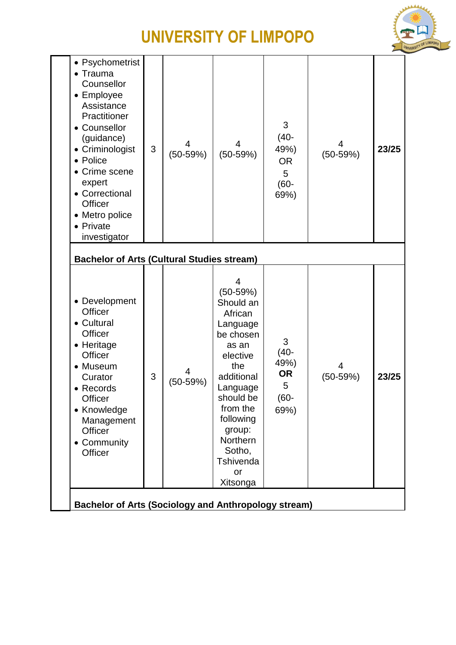

| • Psychometrist<br>• Trauma<br>Counsellor<br>• Employee<br>Assistance<br>Practitioner<br>• Counsellor<br>(guidance)<br>• Criminologist<br>• Police<br>• Crime scene<br>expert<br>• Correctional<br>Officer<br>• Metro police<br>• Private<br>investigator | 3 | 4<br>$(50-59%)$ | 4<br>$(50-59%)$                                                                                                                                                                                                             | 3<br>$(40 -$<br>49%)<br><b>OR</b><br>5<br>$(60 -$<br>69%) | 4<br>$(50-59%)$ | 23/25 |
|-----------------------------------------------------------------------------------------------------------------------------------------------------------------------------------------------------------------------------------------------------------|---|-----------------|-----------------------------------------------------------------------------------------------------------------------------------------------------------------------------------------------------------------------------|-----------------------------------------------------------|-----------------|-------|
| <b>Bachelor of Arts (Cultural Studies stream)</b>                                                                                                                                                                                                         |   |                 |                                                                                                                                                                                                                             |                                                           |                 |       |
| • Development<br>Officer<br>• Cultural<br>Officer<br>• Heritage<br>Officer<br>• Museum<br>Curator<br>• Records<br>Officer<br>• Knowledge<br>Management<br>Officer<br>• Community<br>Officer                                                               | 3 | 4<br>$(50-59%)$ | 4<br>$(50-59%)$<br>Should an<br>African<br>Language<br>be chosen<br>as an<br>elective<br>the<br>additional<br>Language<br>should be<br>from the<br>following<br>group:<br>Northern<br>Sotho,<br>Tshivenda<br>or<br>Xitsonga | 3<br>$(40 -$<br>49%)<br><b>OR</b><br>5<br>$(60 -$<br>69%) | 4<br>$(50-59%)$ | 23/25 |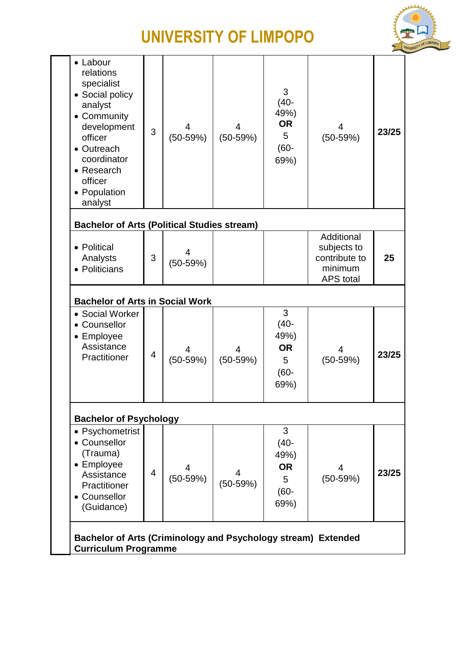

| • Labour                                                                                                                                                                        |                |                 |                 |                                                           |                                                                           |       |
|---------------------------------------------------------------------------------------------------------------------------------------------------------------------------------|----------------|-----------------|-----------------|-----------------------------------------------------------|---------------------------------------------------------------------------|-------|
| relations<br>specialist<br>• Social policy<br>analyst<br>• Community<br>development<br>officer<br>• Outreach<br>coordinator<br>• Research<br>officer<br>• Population<br>analyst | 3              | 4<br>$(50-59%)$ | 4<br>$(50-59%)$ | 3<br>$(40 -$<br>49%)<br><b>OR</b><br>5<br>$(60 -$<br>69%) | 4<br>$(50-59%)$                                                           | 23/25 |
| <b>Bachelor of Arts (Political Studies stream)</b>                                                                                                                              |                |                 |                 |                                                           |                                                                           |       |
| • Political<br>Analysts<br>• Politicians                                                                                                                                        | 3              | 4<br>$(50-59%)$ |                 |                                                           | Additional<br>subjects to<br>contribute to<br>minimum<br><b>APS</b> total | 25    |
| <b>Bachelor of Arts in Social Work</b>                                                                                                                                          |                |                 |                 |                                                           |                                                                           |       |
| • Social Worker<br>Counsellor<br>• Employee<br>Assistance<br>Practitioner                                                                                                       | $\overline{4}$ | 4<br>$(50-59%)$ | $(50-59%)$      | 3<br>$(40 -$<br>49%)<br><b>OR</b><br>5<br>$(60 -$         | $(50-59%)$                                                                | 23/25 |
|                                                                                                                                                                                 |                |                 |                 | 69%)                                                      |                                                                           |       |
| <b>Bachelor of Psychology</b>                                                                                                                                                   |                |                 |                 |                                                           |                                                                           |       |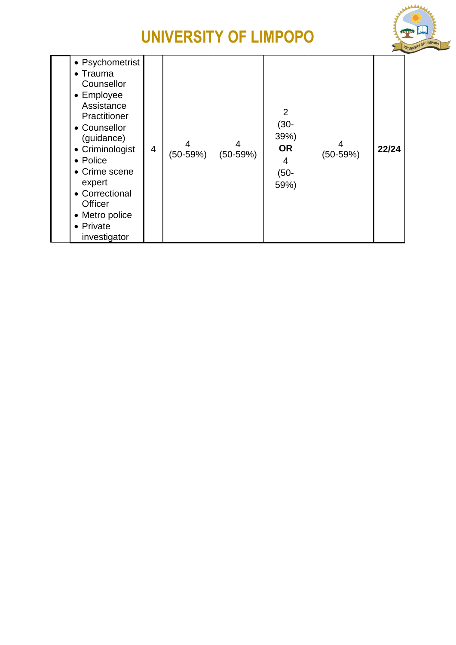

| • Psychometrist<br>$\bullet$ Trauma<br>Counsellor<br>• Employee<br>Assistance<br>Practitioner<br>• Counsellor<br>(guidance)<br>• Criminologist<br>• Police<br>• Crime scene<br>expert<br>• Correctional<br><b>Officer</b><br>• Metro police<br>• Private<br>investigator | $\overline{4}$ | 4<br>$(50-59%)$ | 4<br>(50-59%) | $\overline{2}$<br>$(30 -$<br>39%<br><b>OR</b><br>4<br>$(50 -$<br>59%) | $(50-59%)$ | 22/24 |
|--------------------------------------------------------------------------------------------------------------------------------------------------------------------------------------------------------------------------------------------------------------------------|----------------|-----------------|---------------|-----------------------------------------------------------------------|------------|-------|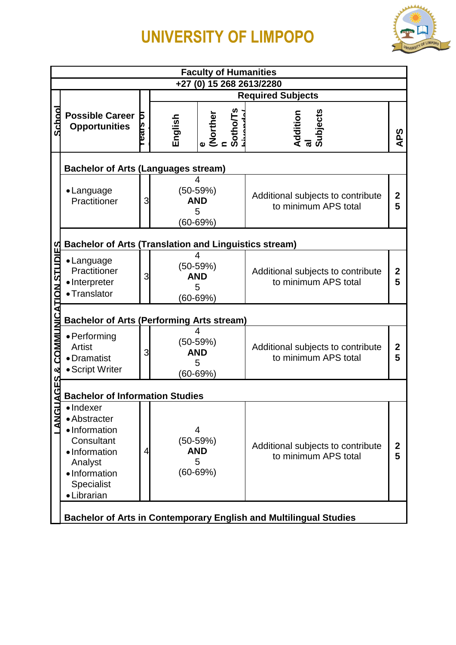

|                              |                                                                                                                                           |                                                                                              |                          |                                               |                            | <b>Faculty of Humanities</b>                                             |                       |  |  |
|------------------------------|-------------------------------------------------------------------------------------------------------------------------------------------|----------------------------------------------------------------------------------------------|--------------------------|-----------------------------------------------|----------------------------|--------------------------------------------------------------------------|-----------------------|--|--|
|                              |                                                                                                                                           |                                                                                              |                          |                                               |                            | +27 (0) 15 268 2613/2280                                                 |                       |  |  |
|                              |                                                                                                                                           |                                                                                              |                          |                                               |                            | <b>Required Subjects</b>                                                 |                       |  |  |
| School                       | <b>Possible Career</b><br><b>Opportunities</b>                                                                                            | Б<br><u>supa</u>                                                                             | English                  |                                               | (Norther)<br>n<br>Sotho/Ts | <b>Subjects</b><br>Addition                                              | <b>APS</b>            |  |  |
|                              | <b>Bachelor of Arts (Languages stream)</b>                                                                                                |                                                                                              |                          |                                               |                            |                                                                          |                       |  |  |
|                              | • Language<br>Practitioner                                                                                                                | 3                                                                                            |                          | $(50-59%)$<br><b>AND</b><br>5<br>$(60 - 69%)$ |                            | Additional subjects to contribute<br>to minimum APS total                |                       |  |  |
|                              | <b>Bachelor of Arts (Translation and Linguistics stream)</b>                                                                              |                                                                                              |                          |                                               |                            |                                                                          |                       |  |  |
| AGES & COMMUNICATION STUDIES | • Language<br>Practitioner<br>· Interpreter<br>• Translator                                                                               | 3                                                                                            |                          |                                               |                            | Additional subjects to contribute<br>to minimum APS total                |                       |  |  |
|                              | $(60 - 69%)$<br><b>Bachelor of Arts (Performing Arts stream)</b>                                                                          |                                                                                              |                          |                                               |                            |                                                                          |                       |  |  |
|                              | • Performing<br>Artist<br>• Dramatist<br>• Script Writer                                                                                  | 3                                                                                            | $(50-59%)$<br><b>AND</b> | 4<br>5<br>$(60 - 69%)$                        |                            | Additional subjects to contribute<br>to minimum APS total                | $\mathbf 2$<br>5      |  |  |
|                              |                                                                                                                                           |                                                                                              |                          |                                               |                            |                                                                          |                       |  |  |
| <b>LANG</b>                  | · Indexer<br>• Abstracter<br>• Information<br>Consultant<br>· Information<br>Analyst<br>• Information<br><b>Specialist</b><br>• Librarian | <b>Bachelor of Information Studies</b><br>4<br>$(50-59%)$<br><b>AND</b><br>5<br>$(60 - 69%)$ |                          |                                               |                            | Additional subjects to contribute<br>to minimum APS total                | $\boldsymbol{2}$<br>5 |  |  |
|                              |                                                                                                                                           |                                                                                              |                          |                                               |                            | <b>Bachelor of Arts in Contemporary English and Multilingual Studies</b> |                       |  |  |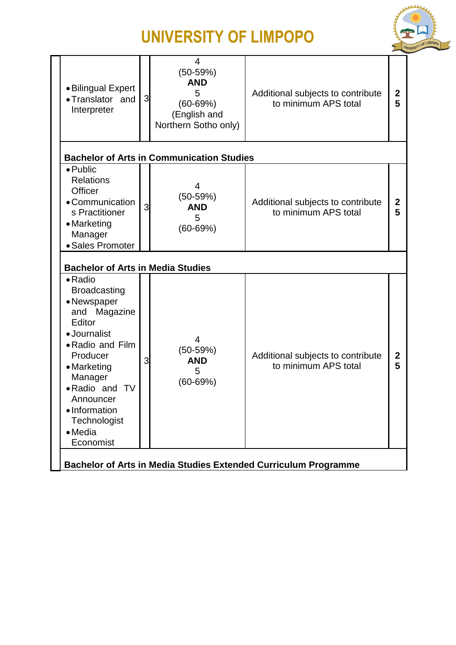

| • Bilingual Expert<br>•Translator and<br>Interpreter                                                                                                                                                                                                           | 3 | $\overline{4}$<br>$(50-59%)$<br><b>AND</b><br>5<br>$(60 - 69%)$<br>(English and<br>Northern Sotho only) | Additional subjects to contribute<br>to minimum APS total       | $\mathbf 2$<br>5  |
|----------------------------------------------------------------------------------------------------------------------------------------------------------------------------------------------------------------------------------------------------------------|---|---------------------------------------------------------------------------------------------------------|-----------------------------------------------------------------|-------------------|
|                                                                                                                                                                                                                                                                |   | <b>Bachelor of Arts in Communication Studies</b>                                                        |                                                                 |                   |
| $\bullet$ Public<br><b>Relations</b><br>Officer<br>• Communication<br>s Practitioner<br>• Marketing<br>Manager<br>· Sales Promoter                                                                                                                             | 3 | 4<br>$(50-59%)$<br><b>AND</b><br>5<br>$(60 - 69%)$                                                      | Additional subjects to contribute<br>to minimum APS total       | $\mathbf{2}$<br>5 |
| <b>Bachelor of Arts in Media Studies</b>                                                                                                                                                                                                                       |   |                                                                                                         |                                                                 |                   |
| $\bullet$ Radio<br><b>Broadcasting</b><br>• Newspaper<br>Magazine<br>and<br>Editor<br>· Journalist<br>• Radio and Film<br>Producer<br>• Marketing<br>Manager<br>• Radio and<br><b>TV</b><br>Announcer<br>• Information<br>Technologist<br>• Media<br>Economist | 3 | 4<br>$(50-59%)$<br><b>AND</b><br>5<br>$(60 - 69%)$                                                      | Additional subjects to contribute<br>to minimum APS total       | 2<br>5            |
|                                                                                                                                                                                                                                                                |   |                                                                                                         | Bachelor of Arts in Media Studies Extended Curriculum Programme |                   |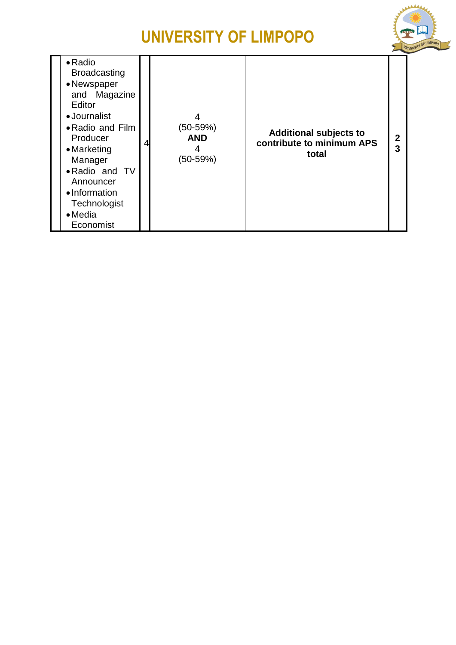

| $\bullet$ Radio<br><b>Broadcasting</b><br>• Newspaper<br>and Magazine<br>Editor<br>• Journalist<br>• Radio and Film<br>Producer<br>• Marketing<br>Manager<br>• Radio and TV<br>Announcer<br>• Information<br>Technologist<br>$\bullet$ Media<br>Economist | 4<br>$(50-59%)$<br><b>AND</b><br>$(50-59%)$ | <b>Additional subjects to</b><br>contribute to minimum APS<br>total | 3 |
|-----------------------------------------------------------------------------------------------------------------------------------------------------------------------------------------------------------------------------------------------------------|---------------------------------------------|---------------------------------------------------------------------|---|